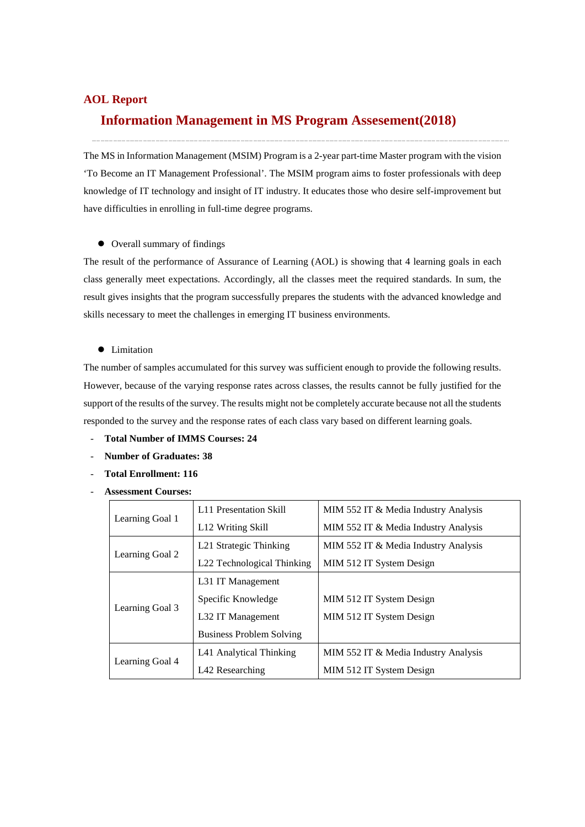#### **AOL Report**

## **Information Management in MS Program Assesement(2018)**

The MS in Information Management (MSIM) Program is a 2-year part-time Master program with the vision 'To Become an IT Management Professional'. The MSIM program aims to foster professionals with deep knowledge of IT technology and insight of IT industry. It educates those who desire self-improvement but have difficulties in enrolling in full-time degree programs.

### Overall summary of findings

The result of the performance of Assurance of Learning (AOL) is showing that 4 learning goals in each class generally meet expectations. Accordingly, all the classes meet the required standards. In sum, the result gives insights that the program successfully prepares the students with the advanced knowledge and skills necessary to meet the challenges in emerging IT business environments.

#### **•** Limitation

The number of samples accumulated for this survey was sufficient enough to provide the following results. However, because of the varying response rates across classes, the results cannot be fully justified for the support of the results of the survey. The results might not be completely accurate because not all the students responded to the survey and the response rates of each class vary based on different learning goals.

- **Total Number of IMMS Courses: 24**
- **Number of Graduates: 38**
- **Total Enrollment: 116**
- **Assessment Courses:**

|                 | L11 Presentation Skill          | MIM 552 IT & Media Industry Analysis |  |
|-----------------|---------------------------------|--------------------------------------|--|
| Learning Goal 1 | L <sub>12</sub> Writing Skill   | MIM 552 IT & Media Industry Analysis |  |
|                 | L21 Strategic Thinking          | MIM 552 IT & Media Industry Analysis |  |
| Learning Goal 2 | L22 Technological Thinking      | MIM 512 IT System Design             |  |
|                 | L31 IT Management               |                                      |  |
|                 | Specific Knowledge              | MIM 512 IT System Design             |  |
| Learning Goal 3 | L32 IT Management               | MIM 512 IT System Design             |  |
|                 | <b>Business Problem Solving</b> |                                      |  |
|                 | L41 Analytical Thinking         | MIM 552 IT & Media Industry Analysis |  |
| Learning Goal 4 | L42 Researching                 | MIM 512 IT System Design             |  |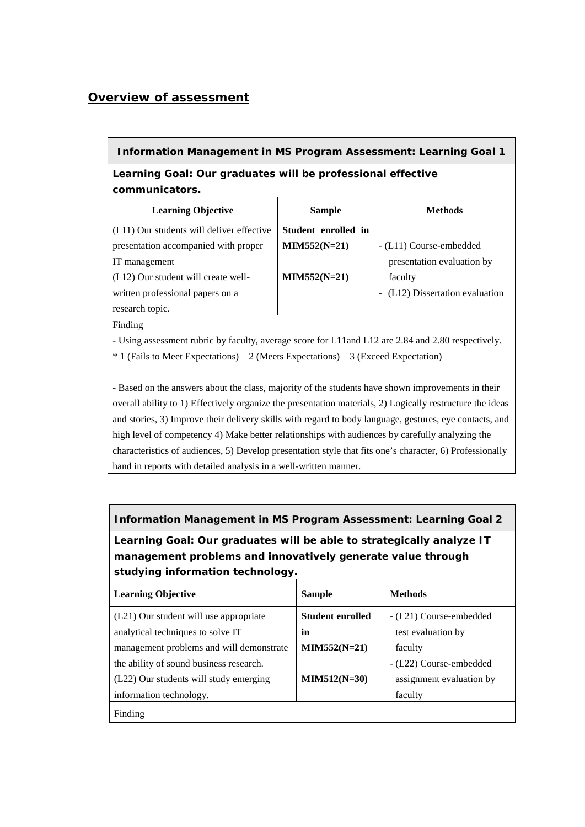## *Overview of assessment*

#### **Information Management in MS Program Assessment: Learning Goal 1**

## **Learning Goal: Our graduates will be professional effective communicators.**

| <b>Learning Objective</b>                 | <b>Sample</b>       | Methods                         |
|-------------------------------------------|---------------------|---------------------------------|
| (L11) Our students will deliver effective | Student enrolled in |                                 |
| presentation accompanied with proper      | $MIN552(N=21)$      | - (L11) Course-embedded         |
| IT management                             |                     | presentation evaluation by      |
| (L12) Our student will create well-       | $MIN552(N=21)$      | faculty                         |
| written professional papers on a          |                     | - (L12) Dissertation evaluation |
| research topic.                           |                     |                                 |

Finding

**-** Using assessment rubric by faculty, average score for L11and L12 are 2.84 and 2.80 respectively.

\* 1 (Fails to Meet Expectations) 2 (Meets Expectations) 3 (Exceed Expectation)

- Based on the answers about the class, majority of the students have shown improvements in their overall ability to 1) Effectively organize the presentation materials, 2) Logically restructure the ideas and stories, 3) Improve their delivery skills with regard to body language, gestures, eye contacts, and high level of competency 4) Make better relationships with audiences by carefully analyzing the characteristics of audiences, 5) Develop presentation style that fits one's character, 6) Professionally hand in reports with detailed analysis in a well-written manner.

**Information Management in MS Program Assessment: Learning Goal 2**

**Learning Goal: Our graduates will be able to strategically analyze IT management problems and innovatively generate value through studying information technology.** 

| <b>Learning Objective</b>                | <b>Sample</b>           | <b>Methods</b>           |
|------------------------------------------|-------------------------|--------------------------|
| (L21) Our student will use appropriate   | <b>Student enrolled</b> | - (L21) Course-embedded  |
| analytical techniques to solve IT        | in                      | test evaluation by       |
| management problems and will demonstrate | $MIN552(N=21)$          | faculty                  |
| the ability of sound business research.  |                         | - (L22) Course-embedded  |
| (L22) Our students will study emerging   | $MIM512(N=30)$          | assignment evaluation by |
| information technology.                  |                         | faculty                  |
| Finding                                  |                         |                          |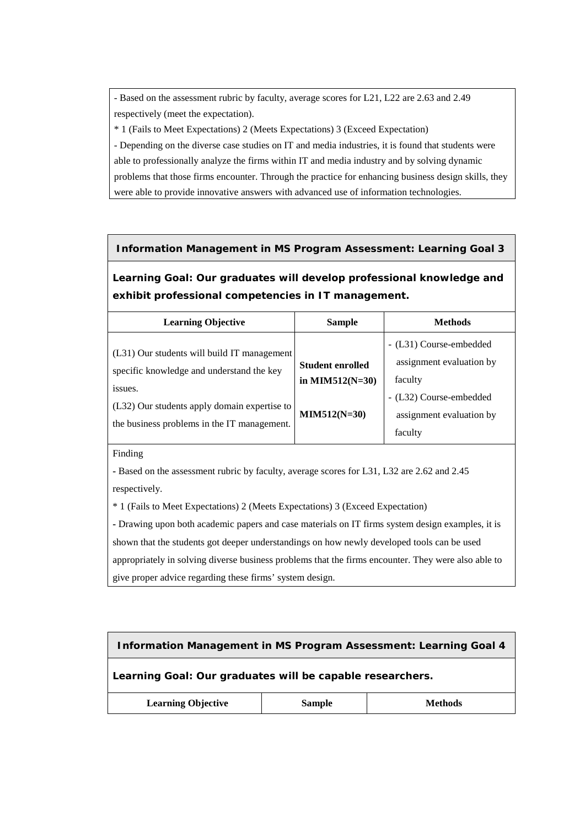- Based on the assessment rubric by faculty, average scores for L21, L22 are 2.63 and 2.49 respectively (meet the expectation).

\* 1 (Fails to Meet Expectations) 2 (Meets Expectations) 3 (Exceed Expectation)

- Depending on the diverse case studies on IT and media industries, it is found that students were able to professionally analyze the firms within IT and media industry and by solving dynamic problems that those firms encounter. Through the practice for enhancing business design skills, they were able to provide innovative answers with advanced use of information technologies.

#### **Information Management in MS Program Assessment: Learning Goal 3**

**Learning Goal: Our graduates will develop professional knowledge and exhibit professional competencies in IT management.**

| <b>Learning Objective</b>                                                                                                                                                                          | <b>Sample</b>                                                    | <b>Methods</b>                                                                                                                   |
|----------------------------------------------------------------------------------------------------------------------------------------------------------------------------------------------------|------------------------------------------------------------------|----------------------------------------------------------------------------------------------------------------------------------|
| (L31) Our students will build IT management<br>specific knowledge and understand the key<br>issues.<br>(L32) Our students apply domain expertise to<br>the business problems in the IT management. | <b>Student enrolled</b><br>in MIM512( $N=30$ )<br>$MIN512(N=30)$ | - (L31) Course-embedded<br>assignment evaluation by<br>faculty<br>- (L32) Course-embedded<br>assignment evaluation by<br>faculty |
|                                                                                                                                                                                                    |                                                                  |                                                                                                                                  |

#### Finding

**-** Based on the assessment rubric by faculty, average scores for L31, L32 are 2.62 and 2.45 respectively.

\* 1 (Fails to Meet Expectations) 2 (Meets Expectations) 3 (Exceed Expectation)

**-** Drawing upon both academic papers and case materials on IT firms system design examples, it is shown that the students got deeper understandings on how newly developed tools can be used appropriately in solving diverse business problems that the firms encounter. They were also able to give proper advice regarding these firms' system design.

| <b>Information Management in MS Program Assessment: Learning Goal 4</b> |  |  |  |  |
|-------------------------------------------------------------------------|--|--|--|--|
| Learning Goal: Our graduates will be capable researchers.               |  |  |  |  |
| <b>Learning Objective</b><br><b>Sample</b><br>Methods                   |  |  |  |  |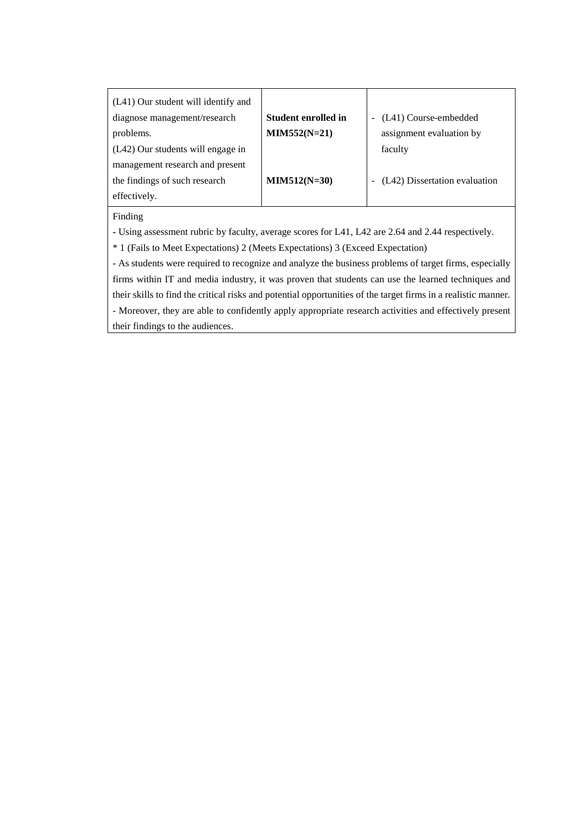| (L41) Our student will identify and                                                                            |                            |                               |  |  |
|----------------------------------------------------------------------------------------------------------------|----------------------------|-------------------------------|--|--|
| diagnose management/research                                                                                   | <b>Student enrolled in</b> | (L41) Course-embedded         |  |  |
| problems.                                                                                                      | $MIM552(N=21)$             | assignment evaluation by      |  |  |
| (L42) Our students will engage in                                                                              |                            | faculty                       |  |  |
| management research and present                                                                                |                            |                               |  |  |
| the findings of such research                                                                                  | $MIN512(N=30)$             | (L42) Dissertation evaluation |  |  |
| effectively.                                                                                                   |                            |                               |  |  |
| Finding                                                                                                        |                            |                               |  |  |
| - Using assessment rubric by faculty, average scores for L41, L42 are 2.64 and 2.44 respectively.              |                            |                               |  |  |
| * 1 (Fails to Meet Expectations) 2 (Meets Expectations) 3 (Exceed Expectation)                                 |                            |                               |  |  |
| - As students were required to recognize and analyze the business problems of target firms, especially         |                            |                               |  |  |
| firms within IT and media industry, it was proven that students can use the learned techniques and             |                            |                               |  |  |
| their skills to find the critical risks and potential opportunities of the target firms in a realistic manner. |                            |                               |  |  |
| - Moreover, they are able to confidently apply appropriate research activities and effectively present         |                            |                               |  |  |

their findings to the audiences.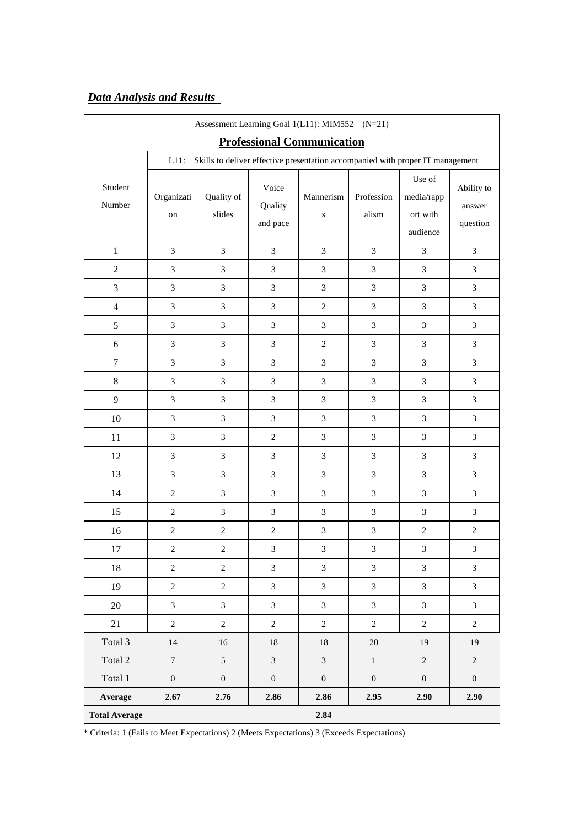# *Data Analysis and Results*

| Assessment Learning Goal 1(L11): MIM552 (N=21) |                  |                      |                              |                                                                                |                     |                                              |                                  |
|------------------------------------------------|------------------|----------------------|------------------------------|--------------------------------------------------------------------------------|---------------------|----------------------------------------------|----------------------------------|
|                                                |                  |                      |                              | <b>Professional Communication</b>                                              |                     |                                              |                                  |
|                                                | $L11$ :          |                      |                              | Skills to deliver effective presentation accompanied with proper IT management |                     |                                              |                                  |
| Student<br>Number                              | Organizati<br>on | Quality of<br>slides | Voice<br>Quality<br>and pace | Mannerism<br>${\bf S}$                                                         | Profession<br>alism | Use of<br>media/rapp<br>ort with<br>audience | Ability to<br>answer<br>question |
| $\mathbf{1}$                                   | 3                | $\overline{3}$       | $\mathfrak{Z}$               | $\overline{3}$                                                                 | $\mathfrak{Z}$      | 3                                            | 3                                |
| $\overline{2}$                                 | $\mathfrak{Z}$   | 3                    | 3                            | 3                                                                              | 3                   | $\mathfrak{Z}$                               | 3                                |
| 3                                              | 3                | $\overline{3}$       | $\overline{3}$               | $\overline{3}$                                                                 | $\mathfrak{Z}$      | $\overline{3}$                               | $\mathfrak{Z}$                   |
| $\overline{4}$                                 | 3                | $\overline{3}$       | $\overline{3}$               | $\overline{2}$                                                                 | $\overline{3}$      | $\overline{3}$                               | $\overline{3}$                   |
| 5                                              | $\mathfrak{Z}$   | 3                    | $\mathfrak{Z}$               | $\overline{3}$                                                                 | $\mathfrak{Z}$      | $\mathfrak{Z}$                               | $\mathfrak{Z}$                   |
| 6                                              | 3                | 3                    | 3                            | $\overline{2}$                                                                 | 3                   | $\mathfrak{Z}$                               | $\mathfrak{Z}$                   |
| $\overline{7}$                                 | $\overline{3}$   | 3                    | $\overline{3}$               | $\overline{3}$                                                                 | $\mathfrak{Z}$      | $\mathfrak{Z}$                               | $\mathfrak{Z}$                   |
| 8                                              | $\mathfrak{Z}$   | 3                    | $\mathfrak{Z}$               | $\overline{3}$                                                                 | $\mathfrak{Z}$      | $\mathfrak{Z}$                               | $\mathfrak{Z}$                   |
| 9                                              | 3                | 3                    | 3                            | 3                                                                              | 3                   | $\overline{3}$                               | 3                                |
| $10\,$                                         | 3                | $\overline{3}$       | $\overline{3}$               | $\overline{3}$                                                                 | $\overline{3}$      | $\overline{3}$                               | $\mathfrak{Z}$                   |
| 11                                             | $\mathfrak{Z}$   | 3                    | $\sqrt{2}$                   | 3                                                                              | $\mathfrak{Z}$      | $\mathfrak{Z}$                               | $\mathfrak{Z}$                   |
| 12                                             | $\mathfrak{Z}$   | 3                    | $\mathfrak{Z}$               | $\mathfrak{Z}$                                                                 | $\mathfrak{Z}$      | $\mathfrak{Z}$                               | $\mathfrak{Z}$                   |
| 13                                             | $\overline{3}$   | $\overline{3}$       | $\mathfrak{Z}$               | $\overline{3}$                                                                 | $\mathfrak{Z}$      | $\overline{3}$                               | $\mathfrak{Z}$                   |
| 14                                             | $\overline{2}$   | 3                    | $\mathfrak{Z}$               | 3                                                                              | 3                   | $\mathfrak{Z}$                               | 3                                |
| 15                                             | $\sqrt{2}$       | 3                    | $\mathfrak{Z}$               | 3                                                                              | $\mathfrak{Z}$      | $\mathfrak{Z}$                               | 3                                |
| 16                                             | $\overline{c}$   | $\overline{2}$       | $\sqrt{2}$                   | $\overline{3}$                                                                 | 3                   | $\overline{2}$                               | $\sqrt{2}$                       |
| 17                                             | $\overline{c}$   | $\mathbf{2}$         | 3                            | 3                                                                              | 3                   | 3                                            | $\mathfrak{Z}$                   |
| 18                                             | $\overline{c}$   | $\sqrt{2}$           | $\mathfrak{Z}$               | $\overline{3}$                                                                 | $\mathfrak{Z}$      | $\overline{3}$                               | $\mathfrak{Z}$                   |
| 19                                             | $\overline{c}$   | $\overline{2}$       | $\overline{3}$               | $\overline{3}$                                                                 | $\mathfrak{Z}$      | $\overline{3}$                               | $\mathfrak{Z}$                   |
| 20                                             | 3                | $\mathfrak{Z}$       | $\mathfrak{Z}$               | $\mathfrak{Z}$                                                                 | $\mathfrak{Z}$      | $\mathfrak{Z}$                               | $\mathfrak{Z}$                   |
| 21                                             | $\overline{c}$   | $\sqrt{2}$           | $\sqrt{2}$                   | $\overline{2}$                                                                 | $\boldsymbol{2}$    | $\overline{2}$                               | $\sqrt{2}$                       |
| Total 3                                        | 14               | 16                   | $18\,$                       | $18\,$                                                                         | $20\,$              | 19                                           | 19                               |
| Total 2                                        | $\overline{7}$   | 5                    | $\overline{3}$               | $\overline{3}$                                                                 | $\,1$               | $\overline{2}$                               | $\overline{c}$                   |
| Total 1                                        | $\boldsymbol{0}$ | $\boldsymbol{0}$     | $\boldsymbol{0}$             | $\boldsymbol{0}$                                                               | $\boldsymbol{0}$    | $\boldsymbol{0}$                             | $\boldsymbol{0}$                 |
| Average                                        | 2.67             | 2.76                 | 2.86                         | 2.86                                                                           | 2.95                | 2.90                                         | 2.90                             |
| <b>Total Average</b>                           | 2.84             |                      |                              |                                                                                |                     |                                              |                                  |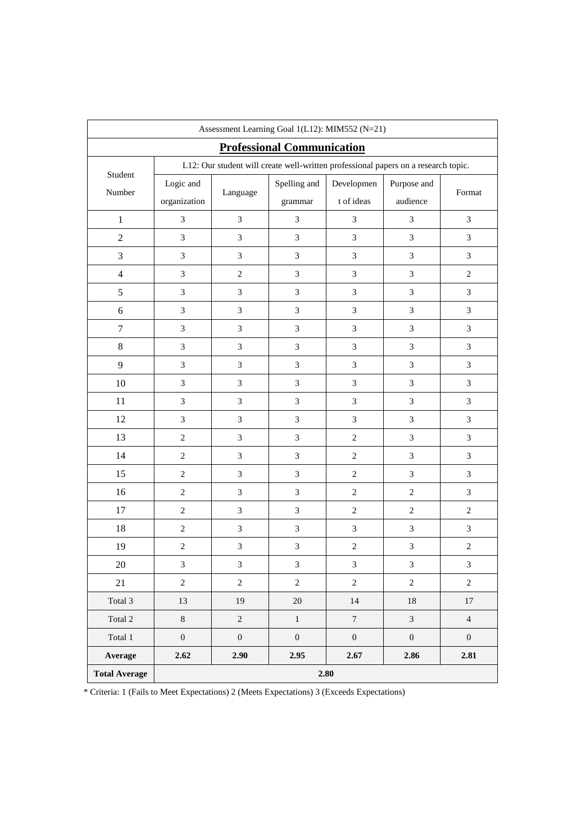| Assessment Learning Goal 1(L12): MIM552 (N=21) |                  |                  |                                                                                    |                  |                  |                  |
|------------------------------------------------|------------------|------------------|------------------------------------------------------------------------------------|------------------|------------------|------------------|
|                                                |                  |                  | <b>Professional Communication</b>                                                  |                  |                  |                  |
|                                                |                  |                  | L12: Our student will create well-written professional papers on a research topic. |                  |                  |                  |
| Student                                        | Logic and        |                  | Spelling and                                                                       | Developmen       | Purpose and      |                  |
| Number                                         | organization     | Language         | grammar                                                                            | t of ideas       | audience         | Format           |
| $\mathbf{1}$                                   | 3                | $\mathfrak{Z}$   | $\mathfrak{Z}$                                                                     | 3                | 3                | $\mathfrak{Z}$   |
| $\sqrt{2}$                                     | $\mathfrak{Z}$   | 3                | $\mathfrak{Z}$                                                                     | $\overline{3}$   | $\mathfrak{Z}$   | 3                |
| 3                                              | $\mathfrak{Z}$   | 3                | $\mathfrak{Z}$                                                                     | 3                | 3                | 3                |
| $\overline{4}$                                 | 3                | $\sqrt{2}$       | $\sqrt{3}$                                                                         | 3                | 3                | $\sqrt{2}$       |
| $\sqrt{5}$                                     | $\mathfrak{Z}$   | $\mathfrak{Z}$   | $\mathfrak{Z}$                                                                     | 3                | $\mathfrak{Z}$   | $\mathfrak{Z}$   |
| $\sqrt{6}$                                     | 3                | $\mathfrak{Z}$   | $\ensuremath{\mathfrak{Z}}$                                                        | $\mathfrak{Z}$   | 3                | 3                |
| $\boldsymbol{7}$                               | 3                | 3                | $\mathfrak{Z}$                                                                     | 3                | 3                | $\overline{3}$   |
| $8\,$                                          | $\mathfrak{Z}$   | $\mathfrak{Z}$   | $\ensuremath{\mathfrak{Z}}$                                                        | 3                | 3                | 3                |
| 9                                              | 3                | $\mathfrak{Z}$   | $\ensuremath{\mathfrak{Z}}$                                                        | 3                | 3                | $\mathfrak{Z}$   |
| 10                                             | 3                | 3                | $\ensuremath{\mathfrak{Z}}$                                                        | 3                | 3                | $\mathfrak{Z}$   |
| 11                                             | 3                | 3                | $\mathfrak{Z}$                                                                     | 3                | 3                | $\overline{3}$   |
| 12                                             | $\mathfrak{Z}$   | $\mathfrak{Z}$   | $\mathfrak{Z}$                                                                     | 3                | 3                | 3                |
| 13                                             | $\overline{2}$   | 3                | $\mathfrak{Z}$                                                                     | $\overline{2}$   | $\overline{3}$   | $\overline{3}$   |
| 14                                             | $\overline{2}$   | $\mathfrak{Z}$   | $\mathfrak{Z}$                                                                     | $\overline{2}$   | $\mathfrak{Z}$   | $\mathfrak{Z}$   |
| 15                                             | $\overline{2}$   | $\mathfrak{Z}$   | $\ensuremath{\mathfrak{Z}}$                                                        | $\overline{2}$   | 3                | $\mathfrak{Z}$   |
| 16                                             | $\overline{2}$   | 3                | $\mathfrak{Z}$                                                                     | $\overline{2}$   | $\overline{2}$   | $\mathfrak{Z}$   |
| 17                                             | $\overline{2}$   | 3                | $\mathfrak{Z}$                                                                     | $\overline{c}$   | $\overline{c}$   | $\overline{c}$   |
| 18                                             | $\sqrt{2}$       | $\mathfrak{Z}$   | $\ensuremath{\mathfrak{Z}}$                                                        | 3                | $\mathfrak{Z}$   | $\mathfrak{Z}$   |
| 19                                             | $\sqrt{2}$       | $\mathfrak{Z}$   | 3                                                                                  | $\,2$            | 3                | $\boldsymbol{2}$ |
| 20                                             | $\mathfrak{Z}$   | $\mathfrak{Z}$   | $\mathfrak{Z}$                                                                     | $\mathfrak{Z}$   | $\mathfrak{Z}$   | $\mathfrak{Z}$   |
| 21                                             | $\overline{2}$   | $\overline{c}$   | $\overline{2}$                                                                     | $\overline{c}$   | $\overline{c}$   | $\overline{2}$   |
| Total 3                                        | 13               | 19               | $20\,$                                                                             | $14\,$           | $18\,$           | $17\,$           |
| Total 2                                        | $8\,$            | $\overline{c}$   | $\,1$                                                                              | $\overline{7}$   | $\overline{3}$   | $\overline{4}$   |
| $\mbox{Total}$ $1$                             | $\boldsymbol{0}$ | $\boldsymbol{0}$ | $\boldsymbol{0}$                                                                   | $\boldsymbol{0}$ | $\boldsymbol{0}$ | $\boldsymbol{0}$ |
| Average                                        | 2.62             | 2.90             | 2.95                                                                               | 2.67             | 2.86             | 2.81             |
| <b>Total Average</b>                           | 2.80             |                  |                                                                                    |                  |                  |                  |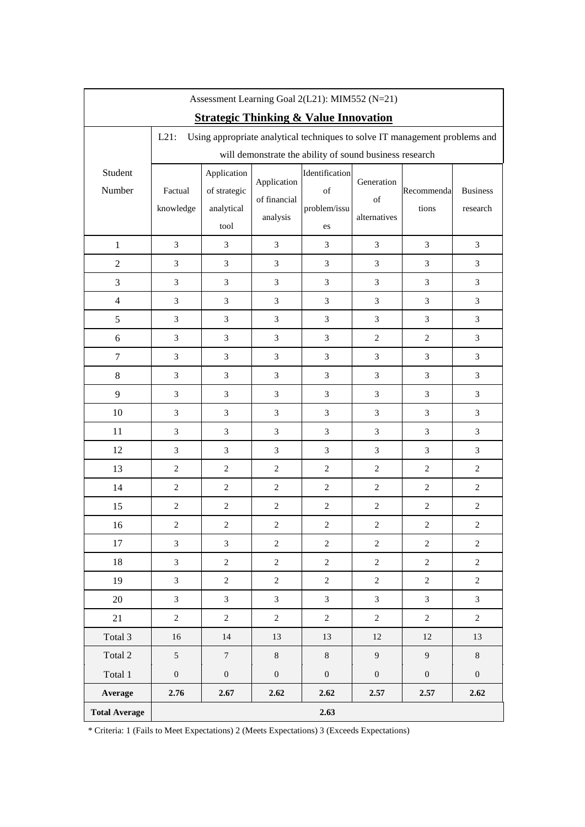|                      | Assessment Learning Goal 2(L21): MIM552 (N=21) |                                                   |                                         |                                                         |                                  |                                                                             |                             |
|----------------------|------------------------------------------------|---------------------------------------------------|-----------------------------------------|---------------------------------------------------------|----------------------------------|-----------------------------------------------------------------------------|-----------------------------|
|                      |                                                |                                                   |                                         | <b>Strategic Thinking &amp; Value Innovation</b>        |                                  |                                                                             |                             |
|                      | $L21$ :                                        |                                                   |                                         |                                                         |                                  | Using appropriate analytical techniques to solve IT management problems and |                             |
|                      |                                                |                                                   |                                         | will demonstrate the ability of sound business research |                                  |                                                                             |                             |
| Student<br>Number    | Factual<br>knowledge                           | Application<br>of strategic<br>analytical<br>tool | Application<br>of financial<br>analysis | Identification<br>of<br>problem/issu<br>es              | Generation<br>of<br>alternatives | Recommenda<br>tions                                                         | <b>Business</b><br>research |
| $\mathbf{1}$         | 3                                              | 3                                                 | $\mathfrak{Z}$                          | 3                                                       | $\mathfrak{Z}$                   | 3                                                                           | 3                           |
| $\overline{c}$       | 3                                              | 3                                                 | $\mathfrak{Z}$                          | 3                                                       | 3                                | 3                                                                           | 3                           |
| 3                    | 3                                              | $\overline{3}$                                    | $\mathfrak{Z}$                          | $\overline{3}$                                          | 3                                | $\overline{3}$                                                              | $\mathfrak{Z}$              |
| $\overline{4}$       | $\mathfrak{Z}$                                 | $\mathfrak{Z}$                                    | $\mathfrak{Z}$                          | 3                                                       | $\mathfrak{Z}$                   | $\mathfrak{Z}$                                                              | $\mathfrak{Z}$              |
| 5                    | 3                                              | 3                                                 | $\mathfrak{Z}$                          | 3                                                       | $\mathfrak{Z}$                   | 3                                                                           | 3                           |
| 6                    | 3                                              | $\overline{3}$                                    | $\mathfrak{Z}$                          | $\overline{3}$                                          | $\mathbf{2}$                     | $\overline{c}$                                                              | 3                           |
| 7                    | $\mathfrak{Z}$                                 | 3                                                 | $\mathfrak{Z}$                          | $\mathfrak{Z}$                                          | $\mathfrak{Z}$                   | 3                                                                           | $\mathfrak{Z}$              |
| 8                    | 3                                              | 3                                                 | $\mathfrak{Z}$                          | 3                                                       | 3                                | 3                                                                           | 3                           |
| 9                    | 3                                              | $\overline{3}$                                    | $\mathfrak{Z}$                          | $\overline{3}$                                          | $\overline{3}$                   | $\overline{3}$                                                              | $\mathfrak{Z}$              |
| 10                   | $\mathfrak{Z}$                                 | 3                                                 | $\mathfrak{Z}$                          | $\overline{3}$                                          | $\boldsymbol{\mathfrak{Z}}$      | 3                                                                           | $\mathfrak{Z}$              |
| 11                   | 3                                              | 3                                                 | $\mathfrak{Z}$                          | 3                                                       | 3                                | 3                                                                           | 3                           |
| 12                   | 3                                              | 3                                                 | $\mathfrak{Z}$                          | 3                                                       | $\mathfrak{Z}$                   | 3                                                                           | $\mathfrak{Z}$              |
| 13                   | $\overline{c}$                                 | $\overline{2}$                                    | $\sqrt{2}$                              | $\overline{2}$                                          | $\overline{2}$                   | $\overline{c}$                                                              | $\overline{c}$              |
| 14                   | $\overline{2}$                                 | $\overline{2}$                                    | $\overline{2}$                          | $\overline{2}$                                          | $\overline{2}$                   | $\overline{2}$                                                              | 2                           |
| 15                   | $\sqrt{2}$                                     | $\overline{c}$                                    | $\sqrt{2}$                              | $\overline{2}$                                          | $\sqrt{2}$                       | $\overline{c}$                                                              | $\sqrt{2}$                  |
| 16                   | $\overline{c}$                                 | $\overline{c}$                                    | $\mathbf{2}$                            | $\overline{c}$                                          | $\overline{c}$                   | $\overline{c}$                                                              | $\overline{c}$              |
| 17                   | 3                                              | 3                                                 | 2                                       | $\sqrt{2}$                                              | $\overline{2}$                   | $\overline{2}$                                                              | 2                           |
| 18                   | $\overline{3}$                                 | $\overline{c}$                                    | $\sqrt{2}$                              | $\overline{2}$                                          | $\sqrt{2}$                       | $\overline{2}$                                                              | $\overline{c}$              |
| 19                   | $\overline{3}$                                 | $\overline{2}$                                    | $\overline{c}$                          | $\overline{2}$                                          | $\overline{2}$                   | $\overline{2}$                                                              | $\overline{2}$              |
| $20\,$               | $\overline{3}$                                 | $\overline{3}$                                    | $\mathfrak{Z}$                          | $\overline{3}$                                          | $\overline{3}$                   | $\overline{3}$                                                              | $\overline{3}$              |
| 21                   | $\overline{2}$                                 | $\overline{c}$                                    | $\sqrt{2}$                              | $\overline{c}$                                          | $\overline{2}$                   | $\overline{2}$                                                              | $\overline{c}$              |
| Total 3              | 16                                             | 14                                                | 13                                      | 13                                                      | $12\,$                           | 12                                                                          | 13                          |
| Total 2              | 5                                              | $\overline{7}$                                    | $8\,$                                   | $8\,$                                                   | 9                                | $\overline{9}$                                                              | $8\,$                       |
| Total 1              | $\boldsymbol{0}$                               | $\boldsymbol{0}$                                  | $\boldsymbol{0}$                        | $\boldsymbol{0}$                                        | $\boldsymbol{0}$                 | $\boldsymbol{0}$                                                            | $\overline{0}$              |
| Average              | 2.76                                           | 2.67                                              | 2.62                                    | 2.62                                                    | 2.57                             | 2.57                                                                        | 2.62                        |
| <b>Total Average</b> |                                                |                                                   |                                         | 2.63                                                    |                                  |                                                                             |                             |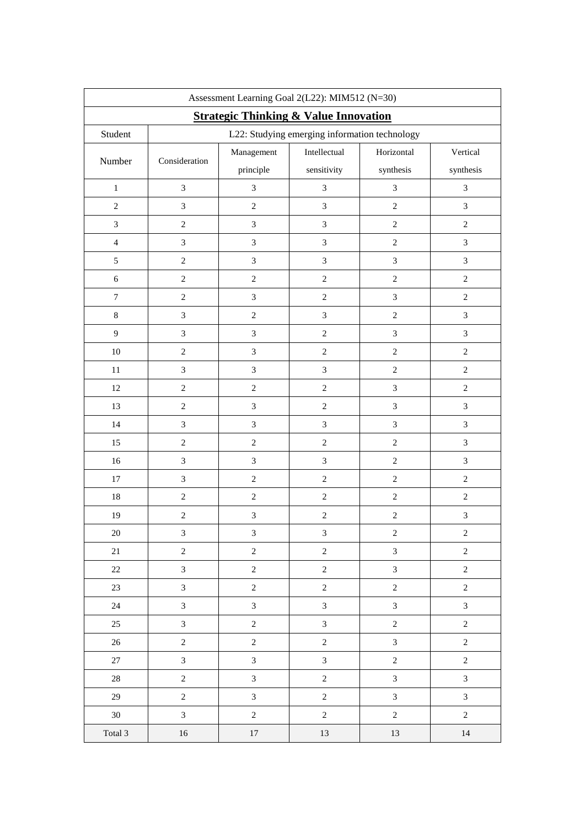|                  | Assessment Learning Goal 2(L22): MIM512 (N=30) |                                                  |                                               |                |                  |  |
|------------------|------------------------------------------------|--------------------------------------------------|-----------------------------------------------|----------------|------------------|--|
|                  |                                                | <b>Strategic Thinking &amp; Value Innovation</b> |                                               |                |                  |  |
| Student          |                                                |                                                  | L22: Studying emerging information technology |                |                  |  |
| Number           | Consideration                                  | Management                                       | Intellectual                                  | Horizontal     | Vertical         |  |
|                  |                                                | principle                                        | sensitivity                                   | synthesis      | synthesis        |  |
| $\,1$            | $\mathfrak{Z}$                                 | $\mathfrak{Z}$                                   | $\mathfrak{Z}$                                | $\mathfrak{Z}$ | $\mathfrak{Z}$   |  |
| $\sqrt{2}$       | $\mathfrak{Z}$                                 | $\boldsymbol{2}$                                 | $\mathfrak{Z}$                                | $\sqrt{2}$     | $\mathfrak{Z}$   |  |
| $\mathfrak{Z}$   | $\sqrt{2}$                                     | $\mathfrak{Z}$                                   | $\mathfrak{Z}$                                | $\sqrt{2}$     | $\sqrt{2}$       |  |
| $\overline{4}$   | $\overline{3}$                                 | 3                                                | $\overline{3}$                                | $\sqrt{2}$     | 3                |  |
| $\mathfrak{S}$   | $\sqrt{2}$                                     | $\mathfrak{Z}$                                   | $\mathfrak{Z}$                                | $\mathfrak{Z}$ | $\mathfrak{Z}$   |  |
| $6\,$            | $\boldsymbol{2}$                               | $\overline{c}$                                   | $\overline{c}$                                | $\sqrt{2}$     | $\overline{c}$   |  |
| $\overline{7}$   | $\sqrt{2}$                                     | $\mathfrak{Z}$                                   | $\sqrt{2}$                                    | $\mathfrak{Z}$ | $\mathbf{2}$     |  |
| $\,8\,$          | $\mathfrak{Z}$                                 | $\overline{c}$                                   | $\overline{3}$                                | $\sqrt{2}$     | $\mathfrak{Z}$   |  |
| $\boldsymbol{9}$ | $\overline{3}$                                 | $\mathfrak{Z}$                                   | $\sqrt{2}$                                    | $\mathfrak{Z}$ | $\mathfrak{Z}$   |  |
| 10               | $\sqrt{2}$                                     | $\overline{3}$                                   | $\sqrt{2}$                                    | $\sqrt{2}$     | $\sqrt{2}$       |  |
| $11\,$           | $\mathfrak{Z}$                                 | $\mathfrak{Z}$                                   | $\mathfrak{Z}$                                | $\sqrt{2}$     | $\sqrt{2}$       |  |
| $12\,$           | $\sqrt{2}$                                     | $\boldsymbol{2}$                                 | $\overline{2}$                                | $\mathfrak{Z}$ | $\sqrt{2}$       |  |
| 13               | $\sqrt{2}$                                     | $\mathfrak{Z}$                                   | $\sqrt{2}$                                    | $\mathfrak{Z}$ | $\mathfrak{Z}$   |  |
| 14               | $\mathfrak{Z}$                                 | $\mathfrak{Z}$                                   | $\mathfrak{Z}$                                | $\mathfrak{Z}$ | $\mathfrak{Z}$   |  |
| 15               | $\sqrt{2}$                                     | $\sqrt{2}$                                       | $\sqrt{2}$                                    | $\overline{2}$ | $\mathfrak{Z}$   |  |
| 16               | $\overline{3}$                                 | $\mathfrak{Z}$                                   | $\overline{3}$                                | $\sqrt{2}$     | $\mathfrak{Z}$   |  |
| 17               | $\mathfrak{Z}$                                 | $\boldsymbol{2}$                                 | $\sqrt{2}$                                    | $\sqrt{2}$     | $\boldsymbol{2}$ |  |
| $18\,$           | $\boldsymbol{2}$                               | $\overline{c}$                                   | $\overline{c}$                                | $\sqrt{2}$     | $\boldsymbol{2}$ |  |
| 19               | $\overline{c}$                                 | $\mathfrak{Z}$                                   | $\sqrt{2}$                                    | $\sqrt{2}$     | $\mathfrak{Z}$   |  |
| $20\,$           | $\mathfrak{Z}$                                 | $\mathfrak{Z}$                                   | $\mathfrak{Z}$                                | $\sqrt{2}$     | $\sqrt{2}$       |  |
| 21               | $\overline{c}$                                 | $\overline{c}$                                   | $\sqrt{2}$                                    | $\mathfrak{Z}$ | $\sqrt{2}$       |  |
| $22\,$           | $\overline{3}$                                 | $\overline{c}$                                   | $\overline{2}$                                | $\mathfrak{Z}$ | $\overline{2}$   |  |
| 23               | $\overline{3}$                                 | $\overline{c}$                                   | $\overline{2}$                                | $\sqrt{2}$     | $\sqrt{2}$       |  |
| 24               | $\mathfrak{Z}$                                 | $\mathfrak{Z}$                                   | $\mathfrak{Z}$                                | $\mathfrak{Z}$ | $\mathfrak{Z}$   |  |
| 25               | $\mathfrak{Z}$                                 | $\overline{2}$                                   | $\overline{3}$                                | $\sqrt{2}$     | $\sqrt{2}$       |  |
| $26\,$           | $\overline{c}$                                 | $\overline{2}$                                   | $\overline{c}$                                | $\mathfrak{Z}$ | $\sqrt{2}$       |  |
| 27               | $\overline{3}$                                 | $\overline{3}$                                   | $\overline{3}$                                | $\overline{2}$ | $\sqrt{2}$       |  |
| $28\,$           | $\overline{c}$                                 | $\mathfrak{Z}$                                   | $\overline{c}$                                | $\mathfrak{Z}$ | $\mathfrak{Z}$   |  |
| 29               | $\overline{2}$                                 | $\overline{3}$                                   | $\overline{c}$                                | $\mathfrak{Z}$ | $\mathfrak{Z}$   |  |
| $30\,$           | $\mathfrak{Z}$                                 | $\overline{c}$                                   | $\sqrt{2}$                                    | $\overline{2}$ | $\sqrt{2}$       |  |
| Total 3          | $16\,$                                         | $17\,$                                           | 13                                            | 13             | $14\,$           |  |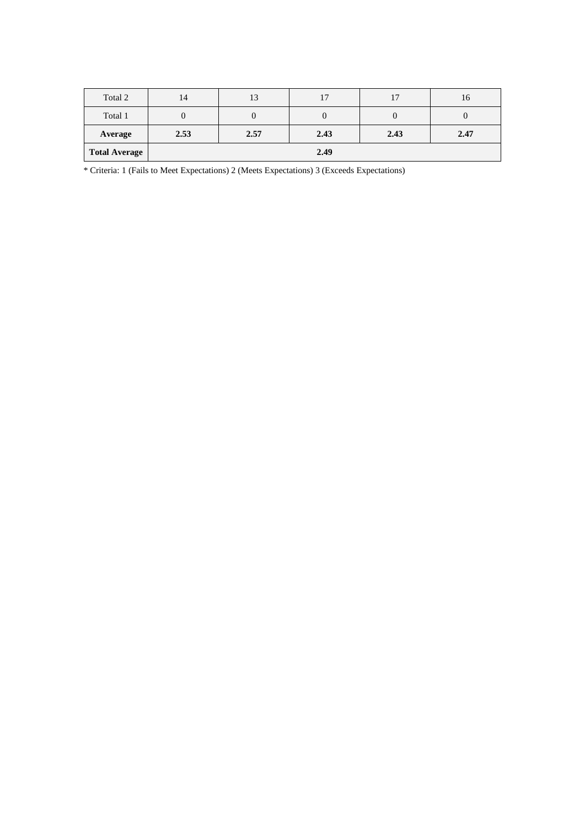| <b>Total Average</b> | 2.49            |      |      |      |      |
|----------------------|-----------------|------|------|------|------|
| Average              | 2.53            | 2.57 | 2.43 | 2.43 | 2.47 |
| Total 1              |                 |      |      |      |      |
| Total 2              | 14 <sup>°</sup> | 13   | 17   | 17   | 16   |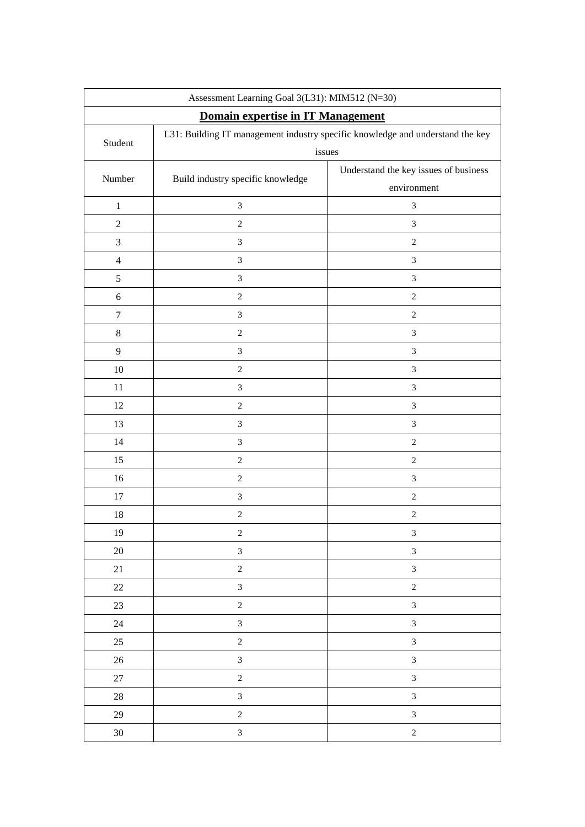| Assessment Learning Goal 3(L31): MIM512 (N=30) |                                                                                |                                       |  |  |  |  |
|------------------------------------------------|--------------------------------------------------------------------------------|---------------------------------------|--|--|--|--|
|                                                | Domain expertise in IT Management                                              |                                       |  |  |  |  |
| Student                                        | L31: Building IT management industry specific knowledge and understand the key |                                       |  |  |  |  |
|                                                |                                                                                | issues                                |  |  |  |  |
| Number                                         | Build industry specific knowledge                                              | Understand the key issues of business |  |  |  |  |
|                                                |                                                                                | environment                           |  |  |  |  |
| $\,1\,$                                        | $\mathfrak{Z}$                                                                 | $\mathfrak{Z}$                        |  |  |  |  |
| $\boldsymbol{2}$                               | $\sqrt{2}$                                                                     | 3                                     |  |  |  |  |
| $\mathfrak{Z}$                                 | $\mathfrak{Z}$                                                                 | $\overline{c}$                        |  |  |  |  |
| $\overline{4}$                                 | $\mathfrak{Z}$                                                                 | 3                                     |  |  |  |  |
| $\mathfrak s$                                  | $\mathfrak{Z}$                                                                 | 3                                     |  |  |  |  |
| $\sqrt{6}$                                     | $\overline{c}$                                                                 | $\sqrt{2}$                            |  |  |  |  |
| $\tau$                                         | $\mathfrak{Z}$                                                                 | $\sqrt{2}$                            |  |  |  |  |
| $\,8\,$                                        | $\,2$                                                                          | 3                                     |  |  |  |  |
| $\mathbf{9}$                                   | $\mathfrak{Z}$                                                                 | 3                                     |  |  |  |  |
| $10\,$                                         | $\boldsymbol{2}$                                                               | $\overline{3}$                        |  |  |  |  |
| 11                                             | $\mathfrak{Z}$                                                                 | 3                                     |  |  |  |  |
| 12                                             | $\sqrt{2}$                                                                     | 3                                     |  |  |  |  |
| 13                                             | $\ensuremath{\mathfrak{Z}}$                                                    | 3                                     |  |  |  |  |
| 14                                             | $\mathfrak{Z}$                                                                 | $\sqrt{2}$                            |  |  |  |  |
| 15                                             | $\overline{c}$                                                                 | $\overline{c}$                        |  |  |  |  |
| 16                                             | $\sqrt{2}$                                                                     | 3                                     |  |  |  |  |
| 17                                             | $\mathfrak{Z}$                                                                 | $\sqrt{2}$                            |  |  |  |  |
| 18                                             | $\overline{c}$                                                                 | $\sqrt{2}$                            |  |  |  |  |
| 19                                             | $\boldsymbol{2}$                                                               | 3                                     |  |  |  |  |
| $20\,$                                         | $\overline{3}$                                                                 | $\overline{3}$                        |  |  |  |  |
| $21\,$                                         | $\overline{c}$                                                                 | $\overline{3}$                        |  |  |  |  |
| $22\,$                                         | $\overline{3}$                                                                 | $\overline{c}$                        |  |  |  |  |
| 23                                             | $\boldsymbol{2}$                                                               | $\overline{\mathbf{3}}$               |  |  |  |  |
| $24\,$                                         | $\mathfrak{Z}$                                                                 | $\mathfrak{Z}$                        |  |  |  |  |
| $25\,$                                         | $\overline{c}$                                                                 | $\overline{3}$                        |  |  |  |  |
| $26\,$                                         | $\overline{3}$                                                                 | $\overline{3}$                        |  |  |  |  |
| $27\,$                                         | $\sqrt{2}$                                                                     | $\overline{3}$                        |  |  |  |  |
| 28                                             | $\overline{3}$                                                                 | $\overline{3}$                        |  |  |  |  |
| 29                                             | $\sqrt{2}$                                                                     | $\overline{\mathbf{3}}$               |  |  |  |  |
| $30\,$                                         | $\mathfrak{Z}$                                                                 | $\overline{c}$                        |  |  |  |  |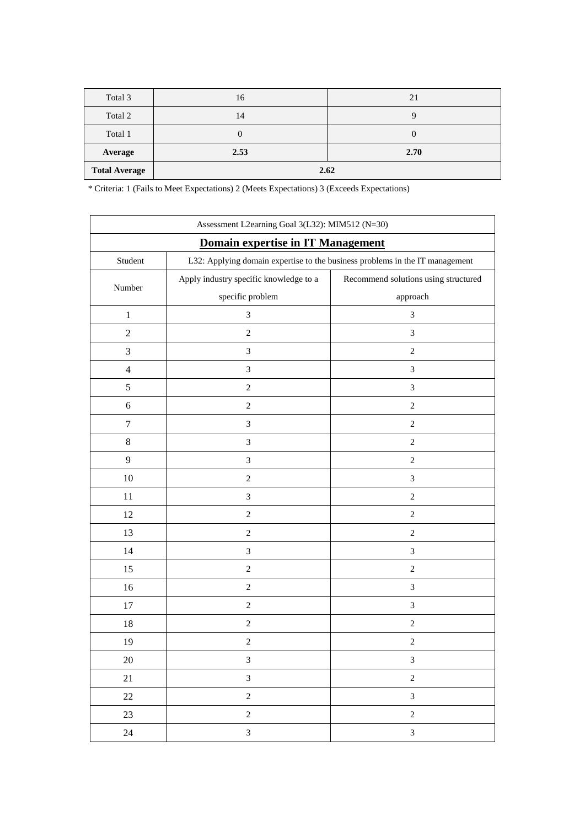| Total 3              | 16   | 21   |  |  |
|----------------------|------|------|--|--|
| Total 2              | 14   |      |  |  |
| Total 1              |      |      |  |  |
| Average              | 2.53 | 2.70 |  |  |
| <b>Total Average</b> | 2.62 |      |  |  |

| Assessment L2earning Goal 3(L32): MIM512 (N=30)                                         |                                        |                                      |  |  |  |  |
|-----------------------------------------------------------------------------------------|----------------------------------------|--------------------------------------|--|--|--|--|
| Domain expertise in IT Management                                                       |                                        |                                      |  |  |  |  |
| L32: Applying domain expertise to the business problems in the IT management<br>Student |                                        |                                      |  |  |  |  |
| Number                                                                                  | Apply industry specific knowledge to a | Recommend solutions using structured |  |  |  |  |
|                                                                                         | specific problem                       | approach                             |  |  |  |  |
| $\mathbf{1}$                                                                            | $\overline{3}$                         | $\mathfrak{Z}$                       |  |  |  |  |
| $\overline{2}$                                                                          | $\sqrt{2}$                             | $\mathfrak{Z}$                       |  |  |  |  |
| 3                                                                                       | $\ensuremath{\mathfrak{Z}}$            | $\sqrt{2}$                           |  |  |  |  |
| $\overline{4}$                                                                          | $\mathfrak{Z}$                         | $\mathfrak{Z}$                       |  |  |  |  |
| $\sqrt{5}$                                                                              | $\sqrt{2}$                             | $\ensuremath{\mathfrak{Z}}$          |  |  |  |  |
| 6                                                                                       | $\mathbf{2}$                           | $\mathbf{2}$                         |  |  |  |  |
| $\boldsymbol{7}$                                                                        | $\mathfrak{Z}$                         | $\sqrt{2}$                           |  |  |  |  |
| $\,8$                                                                                   | $\ensuremath{\mathfrak{Z}}$            | $\sqrt{2}$                           |  |  |  |  |
| 9                                                                                       | $\ensuremath{\mathfrak{Z}}$            | $\sqrt{2}$                           |  |  |  |  |
| $10\,$                                                                                  | $\sqrt{2}$                             | $\ensuremath{\mathfrak{Z}}$          |  |  |  |  |
| 11                                                                                      | $\ensuremath{\mathfrak{Z}}$            | $\sqrt{2}$                           |  |  |  |  |
| 12                                                                                      | $\overline{2}$                         | $\sqrt{2}$                           |  |  |  |  |
| 13                                                                                      | $\mathbf{2}$                           | $\sqrt{2}$                           |  |  |  |  |
| 14                                                                                      | $\mathfrak{Z}$                         | $\ensuremath{\mathfrak{Z}}$          |  |  |  |  |
| 15                                                                                      | $\overline{2}$                         | $\sqrt{2}$                           |  |  |  |  |
| 16                                                                                      | $\sqrt{2}$                             | $\ensuremath{\mathfrak{Z}}$          |  |  |  |  |
| 17                                                                                      | $\sqrt{2}$                             | $\mathfrak{Z}$                       |  |  |  |  |
| 18                                                                                      | $\mathbf{2}$                           | $\sqrt{2}$                           |  |  |  |  |
| 19                                                                                      | $\sqrt{2}$                             | $\sqrt{2}$                           |  |  |  |  |
| 20                                                                                      | $\ensuremath{\mathfrak{Z}}$            | 3                                    |  |  |  |  |
| 21                                                                                      | $\mathfrak{Z}$                         | $\overline{c}$                       |  |  |  |  |
| $22\,$                                                                                  | $\overline{2}$                         | $\mathfrak{Z}$                       |  |  |  |  |
| 23                                                                                      | $\overline{2}$                         | $\sqrt{2}$                           |  |  |  |  |
| 24                                                                                      | $\overline{3}$                         | $\mathfrak{Z}$                       |  |  |  |  |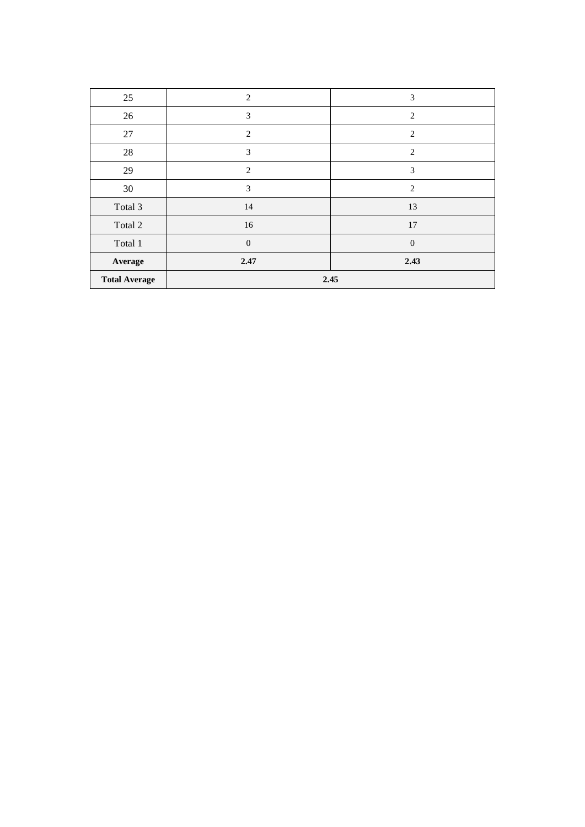| 25                   | 2              | 3              |  |  |
|----------------------|----------------|----------------|--|--|
| 26                   | 3              | 2              |  |  |
| $27\,$               | 2              | $\overline{2}$ |  |  |
| 28                   | 3              | 2              |  |  |
| 29                   | $\overline{2}$ | 3              |  |  |
| 30                   | 3              | 2              |  |  |
| Total 3              | 14             | 13             |  |  |
| Total 2              | 16             | $17\,$         |  |  |
| Total 1              | $\mathbf{0}$   | $\theta$       |  |  |
| Average              | 2.47           | 2.43           |  |  |
| <b>Total Average</b> | 2.45           |                |  |  |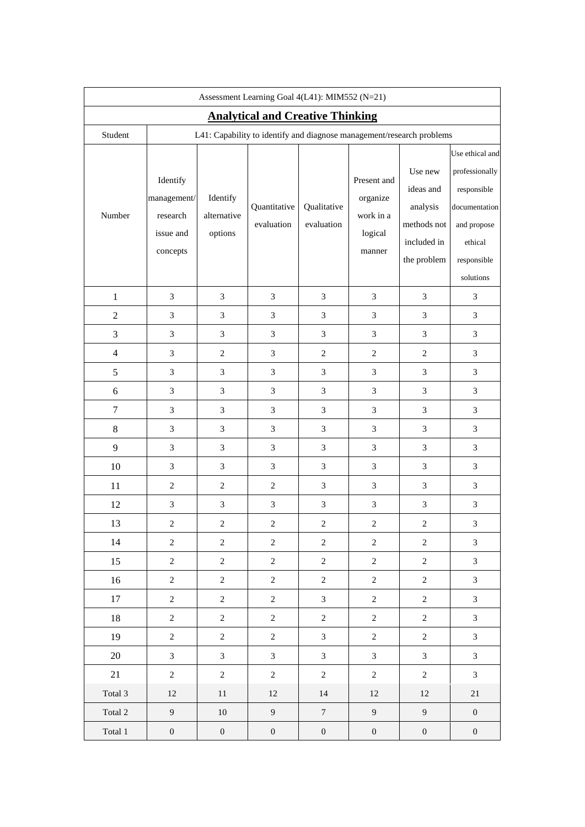| Assessment Learning Goal 4(L41): MIM552 (N=21) |                                                                       |                                    |                            |                           |                                                           |                                                                               |                                                                                                                         |
|------------------------------------------------|-----------------------------------------------------------------------|------------------------------------|----------------------------|---------------------------|-----------------------------------------------------------|-------------------------------------------------------------------------------|-------------------------------------------------------------------------------------------------------------------------|
| <b>Analytical and Creative Thinking</b>        |                                                                       |                                    |                            |                           |                                                           |                                                                               |                                                                                                                         |
| Student                                        | L41: Capability to identify and diagnose management/research problems |                                    |                            |                           |                                                           |                                                                               |                                                                                                                         |
| Number                                         | Identify<br>management/<br>research<br>issue and<br>concepts          | Identify<br>alternative<br>options | Quantitative<br>evaluation | Qualitative<br>evaluation | Present and<br>organize<br>work in a<br>logical<br>manner | Use new<br>ideas and<br>analysis<br>methods not<br>included in<br>the problem | Use ethical and<br>professionally<br>responsible<br>documentation<br>and propose<br>ethical<br>responsible<br>solutions |
| $\mathbf{1}$                                   | $\mathfrak{Z}$                                                        | 3                                  | 3                          | 3                         | $\mathfrak{Z}$                                            | 3                                                                             | 3                                                                                                                       |
| $\sqrt{2}$                                     | $\mathfrak{Z}$                                                        | $\mathfrak{Z}$                     | 3                          | $\mathfrak{Z}$            | $\mathfrak{Z}$                                            | 3                                                                             | 3                                                                                                                       |
| $\mathfrak 3$                                  | $\mathfrak{Z}$                                                        | $\mathfrak{Z}$                     | $\mathfrak{Z}$             | 3                         | $\mathfrak{Z}$                                            | 3                                                                             | $\mathfrak{Z}$                                                                                                          |
| $\overline{4}$                                 | 3                                                                     | $\mathbf{2}$                       | 3                          | $\mathbf{2}$              | $\sqrt{2}$                                                | $\overline{c}$                                                                | 3                                                                                                                       |
| 5                                              | $\mathfrak{Z}$                                                        | 3                                  | $\mathfrak{Z}$             | 3                         | $\mathfrak{Z}$                                            | 3                                                                             | 3                                                                                                                       |
| $\sqrt{6}$                                     | $\mathfrak{Z}$                                                        | $\mathfrak{Z}$                     | 3                          | $\mathfrak{Z}$            | $\mathfrak{Z}$                                            | 3                                                                             | 3                                                                                                                       |
| $\boldsymbol{7}$                               | $\mathfrak{Z}$                                                        | 3                                  | 3                          | 3                         | $\mathfrak{Z}$                                            | 3                                                                             | 3                                                                                                                       |
| $8\,$                                          | $\mathfrak{Z}$                                                        | $\mathfrak{Z}$                     | $\mathfrak{Z}$             | $\mathfrak{Z}$            | $\mathfrak{Z}$                                            | 3                                                                             | 3                                                                                                                       |
| 9                                              | $\mathfrak{Z}$                                                        | 3                                  | 3                          | 3                         | $\mathfrak{Z}$                                            | 3                                                                             | 3                                                                                                                       |
| $10\,$                                         | 3                                                                     | 3                                  | 3                          | 3                         | 3                                                         | 3                                                                             | 3                                                                                                                       |
| 11                                             | $\overline{2}$                                                        | $\overline{2}$                     | $\overline{c}$             | 3                         | 3                                                         | 3                                                                             | 3                                                                                                                       |
| 12                                             | $\mathfrak{Z}$                                                        | $\mathfrak{Z}$                     | 3                          | $\mathfrak{Z}$            | $\ensuremath{\mathfrak{Z}}$                               | 3                                                                             | 3                                                                                                                       |
| 13                                             | $\boldsymbol{2}$                                                      | $\sqrt{2}$                         | $\boldsymbol{2}$           | $\sqrt{2}$                | $\boldsymbol{2}$                                          | $\boldsymbol{2}$                                                              | 3                                                                                                                       |
| 14                                             | 2                                                                     | $\overline{2}$                     | 2                          | $\overline{c}$            | 2                                                         | $\overline{c}$                                                                | 3                                                                                                                       |
| 15                                             | $\sqrt{2}$                                                            | $\sqrt{2}$                         | $\overline{c}$             | $\overline{2}$            | $\overline{c}$                                            | $\overline{2}$                                                                | 3                                                                                                                       |
| 16                                             | $\sqrt{2}$                                                            | $\boldsymbol{2}$                   | $\overline{c}$             | $\boldsymbol{2}$          | $\sqrt{2}$                                                | $\sqrt{2}$                                                                    | $\mathfrak{Z}$                                                                                                          |
| 17                                             | $\overline{2}$                                                        | $\sqrt{2}$                         | $\overline{c}$             | $\mathfrak{Z}$            | $\overline{2}$                                            | $\overline{c}$                                                                | 3                                                                                                                       |
| 18                                             | $\sqrt{2}$                                                            | $\sqrt{2}$                         | $\overline{c}$             | $\boldsymbol{2}$          | $\sqrt{2}$                                                | $\overline{c}$                                                                | 3                                                                                                                       |
| 19                                             | $\sqrt{2}$                                                            | $\sqrt{2}$                         | $\overline{c}$             | $\mathfrak{Z}$            | $\sqrt{2}$                                                | $\overline{c}$                                                                | 3                                                                                                                       |
| 20                                             | $\mathfrak{Z}$                                                        | $\mathfrak{Z}$                     | $\mathfrak{Z}$             | $\mathfrak{Z}$            | $\mathfrak{Z}$                                            | $\overline{3}$                                                                | 3                                                                                                                       |
| 21                                             | $\sqrt{2}$                                                            | $\sqrt{2}$                         | $\overline{c}$             | $\overline{c}$            | $\overline{c}$                                            | $\overline{c}$                                                                | $\mathfrak{Z}$                                                                                                          |
| Total 3                                        | $12\,$                                                                | $11\,$                             | 12                         | 14                        | $12\,$                                                    | 12                                                                            | $21\,$                                                                                                                  |
| Total 2                                        | $\overline{9}$                                                        | $10\,$                             | $\overline{9}$             | $\overline{7}$            | $\boldsymbol{9}$                                          | 9                                                                             | $\boldsymbol{0}$                                                                                                        |
| Total 1                                        | $\boldsymbol{0}$                                                      | $\boldsymbol{0}$                   | $\boldsymbol{0}$           | $\boldsymbol{0}$          | $\boldsymbol{0}$                                          | $\boldsymbol{0}$                                                              | $\boldsymbol{0}$                                                                                                        |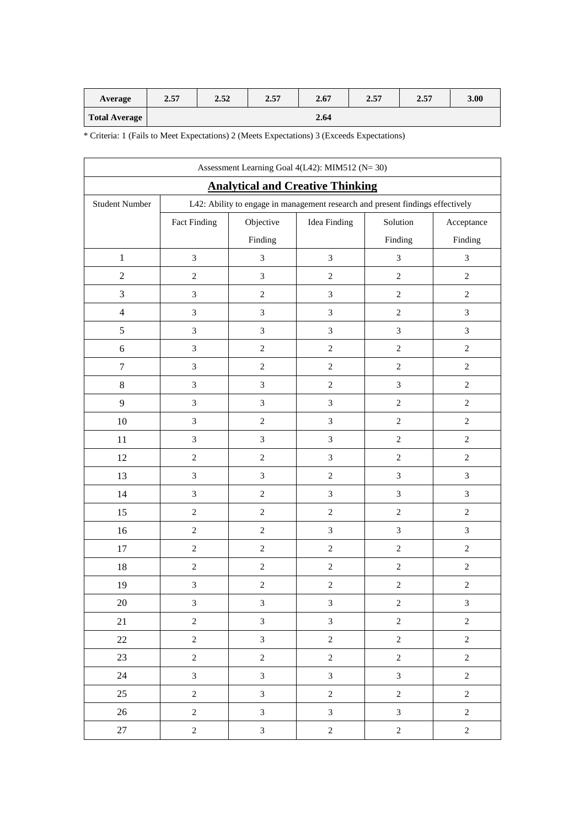| Average              | 2.57 | 2.52 | 2.57 | 2.67 | 2.57 | 2.57 | 3.00 |
|----------------------|------|------|------|------|------|------|------|
| <b>Total Average</b> |      |      |      | 2.64 |      |      |      |

| Assessment Learning Goal 4(L42): MIM512 (N=30) |                             |                                                                                |                             |                             |                             |  |  |
|------------------------------------------------|-----------------------------|--------------------------------------------------------------------------------|-----------------------------|-----------------------------|-----------------------------|--|--|
| <b>Analytical and Creative Thinking</b>        |                             |                                                                                |                             |                             |                             |  |  |
| <b>Student Number</b>                          |                             | L42: Ability to engage in management research and present findings effectively |                             |                             |                             |  |  |
|                                                | Fact Finding                | Objective                                                                      | <b>Idea Finding</b>         | Solution                    | Acceptance                  |  |  |
|                                                |                             | Finding                                                                        |                             | Finding                     | Finding                     |  |  |
| $\mathbf{1}$                                   | $\ensuremath{\mathfrak{Z}}$ | 3                                                                              | $\ensuremath{\mathfrak{Z}}$ | $\ensuremath{\mathfrak{Z}}$ | $\ensuremath{\mathfrak{Z}}$ |  |  |
| $\overline{c}$                                 | $\sqrt{2}$                  | $\mathfrak{Z}$                                                                 | $\sqrt{2}$                  | $\sqrt{2}$                  | $\sqrt{2}$                  |  |  |
| 3                                              | $\mathfrak{Z}$              | $\boldsymbol{2}$                                                               | $\mathfrak{Z}$              | $\sqrt{2}$                  | $\sqrt{2}$                  |  |  |
| $\overline{4}$                                 | $\mathfrak{Z}$              | $\overline{3}$                                                                 | $\mathfrak{Z}$              | $\sqrt{2}$                  | $\mathfrak{Z}$              |  |  |
| 5                                              | $\ensuremath{\mathfrak{Z}}$ | $\mathfrak{Z}$                                                                 | $\mathfrak{Z}$              | $\ensuremath{\mathfrak{Z}}$ | $\mathfrak{Z}$              |  |  |
| $\sqrt{6}$                                     | $\ensuremath{\mathfrak{Z}}$ | $\sqrt{2}$                                                                     | $\sqrt{2}$                  | $\sqrt{2}$                  | $\sqrt{2}$                  |  |  |
| $\boldsymbol{7}$                               | $\ensuremath{\mathfrak{Z}}$ | $\boldsymbol{2}$                                                               | $\sqrt{2}$                  | $\sqrt{2}$                  | $\sqrt{2}$                  |  |  |
| $8\,$                                          | $\mathfrak{Z}$              | $\mathfrak{Z}$                                                                 | $\sqrt{2}$                  | $\mathfrak{Z}$              | $\sqrt{2}$                  |  |  |
| 9                                              | $\mathfrak{Z}$              | 3                                                                              | $\ensuremath{\mathfrak{Z}}$ | $\sqrt{2}$                  | $\sqrt{2}$                  |  |  |
| $10\,$                                         | $\ensuremath{\mathfrak{Z}}$ | $\overline{c}$                                                                 | $\mathfrak{Z}$              | $\sqrt{2}$                  | $\sqrt{2}$                  |  |  |
| $11\,$                                         | $\ensuremath{\mathfrak{Z}}$ | 3                                                                              | $\mathfrak{Z}$              | $\sqrt{2}$                  | $\sqrt{2}$                  |  |  |
| 12                                             | $\sqrt{2}$                  | $\overline{c}$                                                                 | $\mathfrak{Z}$              | $\sqrt{2}$                  | $\sqrt{2}$                  |  |  |
| 13                                             | $\ensuremath{\mathfrak{Z}}$ | $\mathfrak{Z}$                                                                 | $\sqrt{2}$                  | $\sqrt{3}$                  | $\ensuremath{\mathfrak{Z}}$ |  |  |
| 14                                             | $\ensuremath{\mathfrak{Z}}$ | $\sqrt{2}$                                                                     | $\mathfrak{Z}$              | $\ensuremath{\mathfrak{Z}}$ | $\mathfrak{Z}$              |  |  |
| 15                                             | $\sqrt{2}$                  | $\overline{c}$                                                                 | $\sqrt{2}$                  | $\sqrt{2}$                  | $\sqrt{2}$                  |  |  |
| 16                                             | $\sqrt{2}$                  | $\sqrt{2}$                                                                     | $\ensuremath{\mathfrak{Z}}$ | $\sqrt{3}$                  | $\mathfrak{Z}$              |  |  |
| 17                                             | $\sqrt{2}$                  | $\overline{c}$                                                                 | $\sqrt{2}$                  | $\sqrt{2}$                  | $\sqrt{2}$                  |  |  |
| 18                                             | $\sqrt{2}$                  | $\,2$                                                                          | $\sqrt{2}$                  | $\sqrt{2}$                  | $\sqrt{2}$                  |  |  |
| 19                                             | $\mathfrak 3$               | $\overline{c}$                                                                 | $\sqrt{2}$                  | $\sqrt{2}$                  | $\sqrt{2}$                  |  |  |
| 20                                             | 3                           | 3                                                                              | 3                           | 2                           | 3                           |  |  |
| 21                                             | $\sqrt{2}$                  | $\overline{\mathbf{3}}$                                                        | $\mathfrak{Z}$              | $\sqrt{2}$                  | $\sqrt{2}$                  |  |  |
| $22\,$                                         | $\sqrt{2}$                  | $\overline{3}$                                                                 | $\sqrt{2}$                  | $\sqrt{2}$                  | $\boldsymbol{2}$            |  |  |
| 23                                             | $\sqrt{2}$                  | $\overline{c}$                                                                 | $\sqrt{2}$                  | $\sqrt{2}$                  | $\sqrt{2}$                  |  |  |
| 24                                             | $\mathfrak{Z}$              | $\mathfrak{Z}$                                                                 | $\mathfrak{Z}$              | $\mathfrak{Z}$              | $\sqrt{2}$                  |  |  |
| 25                                             | $\overline{2}$              | $\overline{\mathbf{3}}$                                                        | $\overline{c}$              | $\overline{2}$              | $\overline{2}$              |  |  |
| 26                                             | $\sqrt{2}$                  | $\overline{3}$                                                                 | $\mathfrak{Z}$              | $\mathfrak{Z}$              | $\overline{2}$              |  |  |
| $27\,$                                         | $\sqrt{2}$                  | $\overline{3}$                                                                 | $\sqrt{2}$                  | $\sqrt{2}$                  | $\sqrt{2}$                  |  |  |